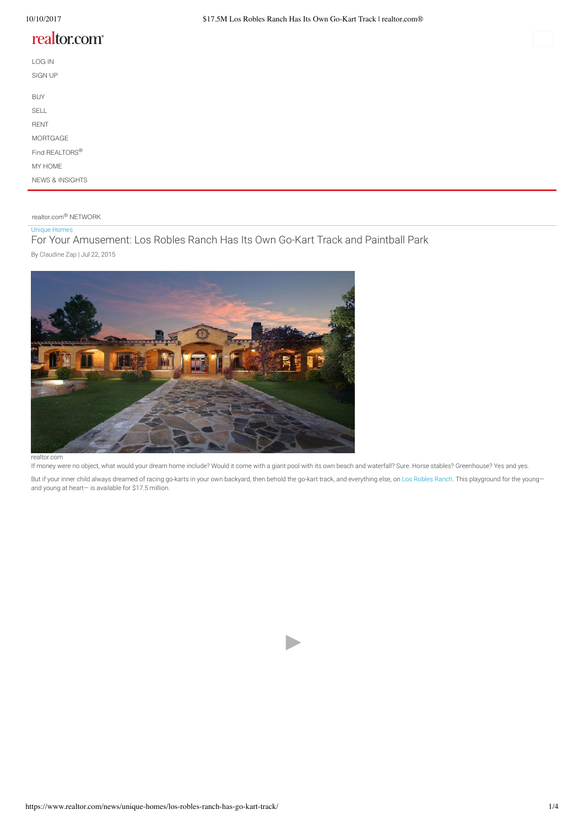# realtor.com<sup>®</sup>

| LOG IN                     |  |  |  |
|----------------------------|--|--|--|
| <b>SIGN UP</b>             |  |  |  |
| <b>BUY</b>                 |  |  |  |
| <b>SELL</b>                |  |  |  |
| <b>RENT</b>                |  |  |  |
| MORTGAGE                   |  |  |  |
| Find REALTORS®             |  |  |  |
| MY HOME                    |  |  |  |
| <b>NEWS &amp; INSIGHTS</b> |  |  |  |

realtor.com<sup>®</sup> NETWORK

## Unique Homes

For Your Amusement: Los Robles Ranch Has Its Own Go-Kart Track and Paintball Park By Claudine Zap | Jul 22, 2015



realtor.com

If money were no object, what would your dream home include? Would it come with a giant pool with its own beach and waterfall? Sure. Horse stables? Greenhouse? Yes and yes.

But if your inner child always dreamed of racing go-karts in your own backyard, then behold the go-kart track, and everything else, on Los Robles Ranch. This playground for the youngand young at heart— is available for \$17.5 million.

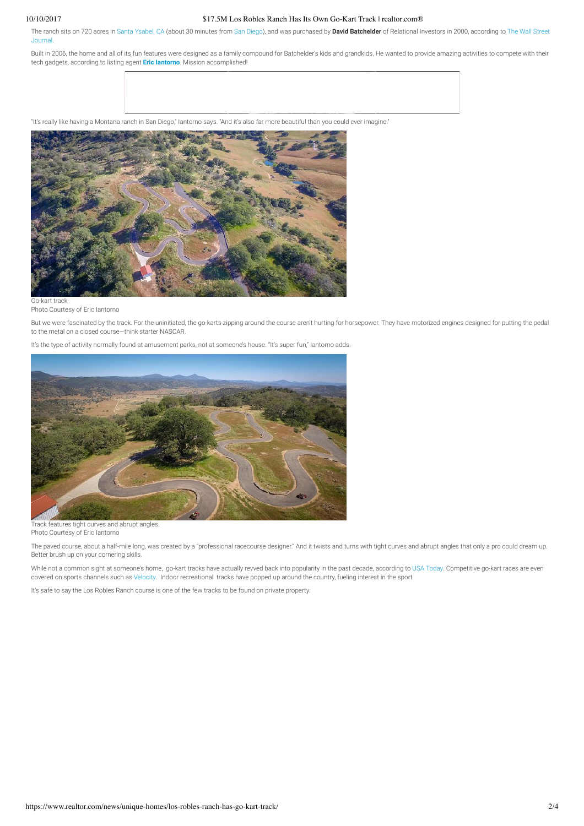### 10/10/2017 \$17.5M Los Robles Ranch Has Its Own Go-Kart Track | realtor.com®

The ranch sits on 720 acres in Santa Ysabel, CA (about 30 minutes from San Diego), and was purchased by **David Batchelder** of Relational Investors in 2000, according to The Wall Street Journal.

Built in 2006, the home and all of its fun features were designed as a family compound for Batchelder's kids and grandkids. He wanted to provide amazing activities to compete with their tech gadgets, according to listing agent **Eric Iantorno**. Mission accomplished!

"It's really like having a Montana ranch in San Diego," Iantorno says. "And it's also far more beautiful than you could ever imagine."



Photo Courtesy of Eric Iantorno

But we were fascinated by the track. For the uninitiated, the go-karts zipping around the course aren't hurting for horsepower. They have motorized engines designed for putting the pedal to the metal on a closed course—think starter NASCAR.

It's the type of activity normally found at amusement parks, not at someone's house. "It's super fun," Iantorno adds.



Track features tight curves and abrupt angles. Photo Courtesy of Eric Iantorno

The paved course, about a half-mile long, was created by a "professional racecourse designer." And it twists and turns with tight curves and abrupt angles that only a pro could dream up. Better brush up on your cornering skills.

While not a common sight at someone's home, go-kart tracks have actually revved back into popularity in the past decade, according to USA Today. Competitive go-kart races are even covered on sports channels such as Velocity. Indoor recreational tracks have popped up around the country, fueling interest in the sport.

It's safe to say the Los Robles Ranch course is one of the few tracks to be found on private property.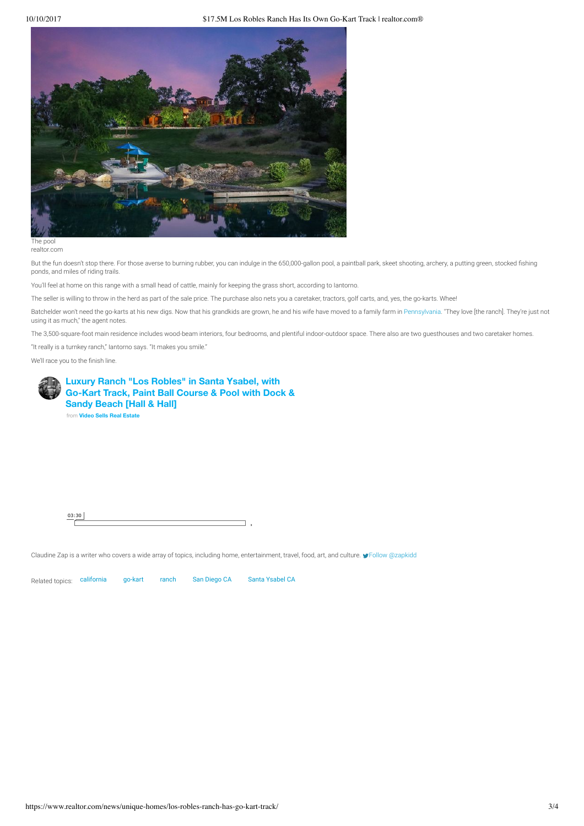#### 10/10/2017 \$17.5M Los Robles Ranch Has Its Own Go-Kart Track | realtor.com®



realtor.com

But the fun doesn't stop there. For those averse to burning rubber, you can indulge in the 650,000-gallon pool, a paintball park, skeet shooting, archery, a putting green, stocked shing ponds, and miles of riding trails.

You'll feel at home on this range with a small head of cattle, mainly for keeping the grass short, according to Iantorno.

The seller is willing to throw in the herd as part of the sale price. The purchase also nets you a caretaker, tractors, golf carts, and, yes, the go-karts. Whee!

Batchelder won't need the go-karts at his new digs. Now that his grandkids are grown, he and his wife have moved to a family farm in Pennsylvania. "They love [the ranch]. They're just not using it as much," the agent notes.

The 3,500-square-foot main residence includes wood-beam interiors, four bedrooms, and plentiful indoor-outdoor space. There also are two guesthouses and two caretaker homes.

"It really is a turnkey ranch," Iantorno says. "It makes you smile."

We'll race you to the finish line.

![](_page_2_Picture_11.jpeg)

03:30

Claudine Zap is a writer who covers a wide array of topics, including home, entertainment, travel, food, art, and culture.  $\blacktriangleright$  Follow @zapkidd

Related topics: california go-kart ranch San Diego CA Santa Ysabel CA